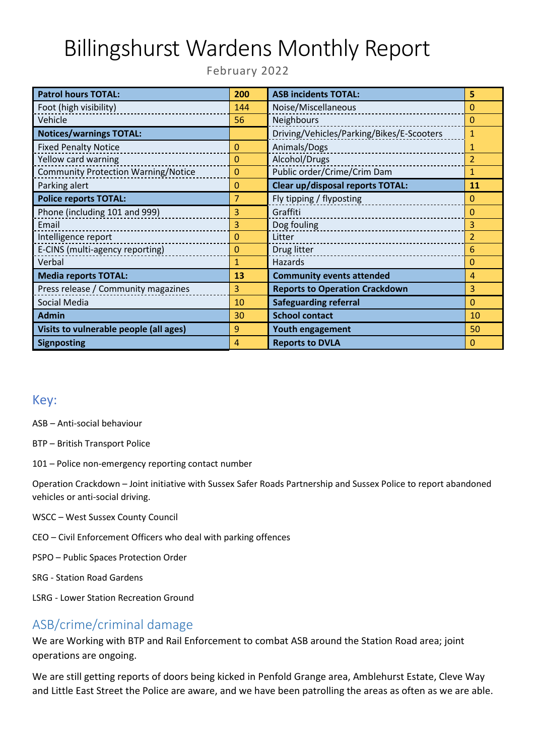# Billingshurst Wardens Monthly Report

February 2022

| <b>Patrol hours TOTAL:</b>                 | 200            | <b>ASB incidents TOTAL:</b>               | 5              |
|--------------------------------------------|----------------|-------------------------------------------|----------------|
| Foot (high visibility)                     | 144            | Noise/Miscellaneous                       | $\Omega$       |
| Vehicle                                    | 56             | Neighbours                                | $\Omega$       |
| <b>Notices/warnings TOTAL:</b>             |                | Driving/Vehicles/Parking/Bikes/E-Scooters | 1              |
| <b>Fixed Penalty Notice</b>                | 0              | Animals/Dogs                              | 1              |
| Yellow card warning                        | 0              | Alcohol/Drugs                             | $\overline{2}$ |
| <b>Community Protection Warning/Notice</b> | $\mathbf 0$    | Public order/Crime/Crim Dam               | $\mathbf{1}$   |
| Parking alert                              | 0              | <b>Clear up/disposal reports TOTAL:</b>   | 11             |
| <b>Police reports TOTAL:</b>               | 7              | Fly tipping / flyposting                  | $\Omega$       |
| Phone (including 101 and 999)              | 3              | Graffiti                                  | $\Omega$       |
| Email                                      | 3              | Dog fouling                               | 3              |
| Intelligence report                        | $\overline{0}$ | Litter                                    | $\overline{2}$ |
| E-CINS (multi-agency reporting)            | $\mathbf 0$    | Drug litter                               | 6              |
| Verbal                                     | $\mathbf{1}$   | Hazards                                   | 0              |
| <b>Media reports TOTAL:</b>                | 13             | <b>Community events attended</b>          | $\overline{4}$ |
| Press release / Community magazines        | 3              | <b>Reports to Operation Crackdown</b>     | 3              |
| Social Media                               | 10             | <b>Safeguarding referral</b>              | $\mathbf{0}$   |
| <b>Admin</b>                               | 30             | <b>School contact</b>                     | 10             |
| Visits to vulnerable people (all ages)     | 9              | Youth engagement                          | 50             |
| <b>Signposting</b>                         | 4              | <b>Reports to DVLA</b>                    | $\Omega$       |

#### Key:

ASB – Anti-social behaviour

- BTP British Transport Police
- 101 Police non-emergency reporting contact number

Operation Crackdown – Joint initiative with Sussex Safer Roads Partnership and Sussex Police to report abandoned vehicles or anti-social driving.

- WSCC West Sussex County Council
- CEO Civil Enforcement Officers who deal with parking offences
- PSPO Public Spaces Protection Order
- SRG Station Road Gardens
- LSRG Lower Station Recreation Ground

### ASB/crime/criminal damage

We are Working with BTP and Rail Enforcement to combat ASB around the Station Road area; joint operations are ongoing.

We are still getting reports of doors being kicked in Penfold Grange area, Amblehurst Estate, Cleve Way and Little East Street the Police are aware, and we have been patrolling the areas as often as we are able.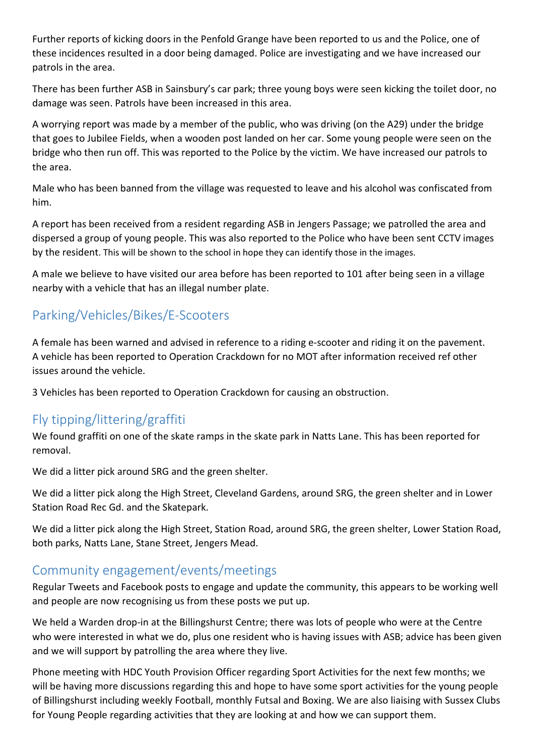Further reports of kicking doors in the Penfold Grange have been reported to us and the Police, one of these incidences resulted in a door being damaged. Police are investigating and we have increased our patrols in the area.

There has been further ASB in Sainsbury's car park; three young boys were seen kicking the toilet door, no damage was seen. Patrols have been increased in this area.

A worrying report was made by a member of the public, who was driving (on the A29) under the bridge that goes to Jubilee Fields, when a wooden post landed on her car. Some young people were seen on the bridge who then run off. This was reported to the Police by the victim. We have increased our patrols to the area.

Male who has been banned from the village was requested to leave and his alcohol was confiscated from him.

A report has been received from a resident regarding ASB in Jengers Passage; we patrolled the area and dispersed a group of young people. This was also reported to the Police who have been sent CCTV images by the resident. This will be shown to the school in hope they can identify those in the images.

A male we believe to have visited our area before has been reported to 101 after being seen in a village nearby with a vehicle that has an illegal number plate.

## Parking/Vehicles/Bikes/E-Scooters

A female has been warned and advised in reference to a riding e-scooter and riding it on the pavement. A vehicle has been reported to Operation Crackdown for no MOT after information received ref other issues around the vehicle.

3 Vehicles has been reported to Operation Crackdown for causing an obstruction.

### Fly tipping/littering/graffiti

We found graffiti on one of the skate ramps in the skate park in Natts Lane. This has been reported for removal.

We did a litter pick around SRG and the green shelter.

We did a litter pick along the High Street, Cleveland Gardens, around SRG, the green shelter and in Lower Station Road Rec Gd. and the Skatepark.

We did a litter pick along the High Street, Station Road, around SRG, the green shelter, Lower Station Road, both parks, Natts Lane, Stane Street, Jengers Mead.

#### Community engagement/events/meetings

Regular Tweets and Facebook posts to engage and update the community, this appears to be working well and people are now recognising us from these posts we put up.

We held a Warden drop-in at the Billingshurst Centre; there was lots of people who were at the Centre who were interested in what we do, plus one resident who is having issues with ASB; advice has been given and we will support by patrolling the area where they live.

Phone meeting with HDC Youth Provision Officer regarding Sport Activities for the next few months; we will be having more discussions regarding this and hope to have some sport activities for the young people of Billingshurst including weekly Football, monthly Futsal and Boxing. We are also liaising with Sussex Clubs for Young People regarding activities that they are looking at and how we can support them.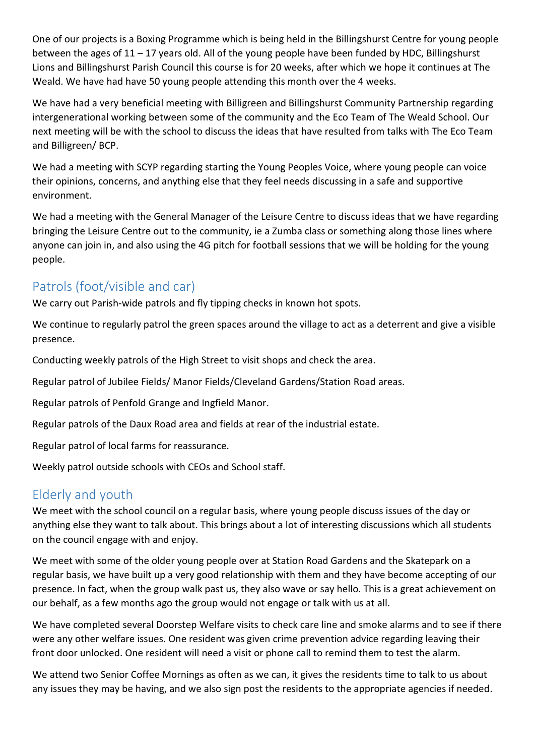One of our projects is a Boxing Programme which is being held in the Billingshurst Centre for young people between the ages of 11 – 17 years old. All of the young people have been funded by HDC, Billingshurst Lions and Billingshurst Parish Council this course is for 20 weeks, after which we hope it continues at The Weald. We have had have 50 young people attending this month over the 4 weeks.

We have had a very beneficial meeting with Billigreen and Billingshurst Community Partnership regarding intergenerational working between some of the community and the Eco Team of The Weald School. Our next meeting will be with the school to discuss the ideas that have resulted from talks with The Eco Team and Billigreen/ BCP.

We had a meeting with SCYP regarding starting the Young Peoples Voice, where young people can voice their opinions, concerns, and anything else that they feel needs discussing in a safe and supportive environment.

We had a meeting with the General Manager of the Leisure Centre to discuss ideas that we have regarding bringing the Leisure Centre out to the community, ie a Zumba class or something along those lines where anyone can join in, and also using the 4G pitch for football sessions that we will be holding for the young people.

### Patrols (foot/visible and car)

We carry out Parish-wide patrols and fly tipping checks in known hot spots.

We continue to regularly patrol the green spaces around the village to act as a deterrent and give a visible presence.

Conducting weekly patrols of the High Street to visit shops and check the area.

Regular patrol of Jubilee Fields/ Manor Fields/Cleveland Gardens/Station Road areas.

Regular patrols of Penfold Grange and Ingfield Manor.

Regular patrols of the Daux Road area and fields at rear of the industrial estate.

Regular patrol of local farms for reassurance.

Weekly patrol outside schools with CEOs and School staff.

### Elderly and youth

We meet with the school council on a regular basis, where young people discuss issues of the day or anything else they want to talk about. This brings about a lot of interesting discussions which all students on the council engage with and enjoy.

We meet with some of the older young people over at Station Road Gardens and the Skatepark on a regular basis, we have built up a very good relationship with them and they have become accepting of our presence. In fact, when the group walk past us, they also wave or say hello. This is a great achievement on our behalf, as a few months ago the group would not engage or talk with us at all.

We have completed several Doorstep Welfare visits to check care line and smoke alarms and to see if there were any other welfare issues. One resident was given crime prevention advice regarding leaving their front door unlocked. One resident will need a visit or phone call to remind them to test the alarm.

We attend two Senior Coffee Mornings as often as we can, it gives the residents time to talk to us about any issues they may be having, and we also sign post the residents to the appropriate agencies if needed.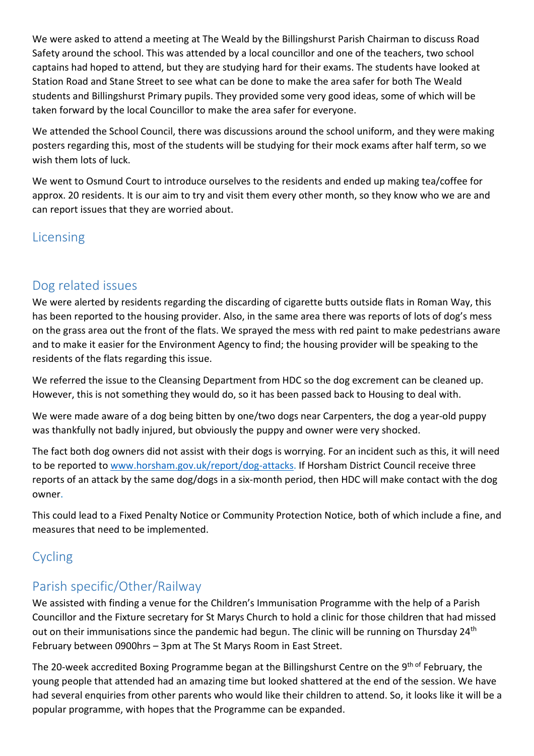We were asked to attend a meeting at The Weald by the Billingshurst Parish Chairman to discuss Road Safety around the school. This was attended by a local councillor and one of the teachers, two school captains had hoped to attend, but they are studying hard for their exams. The students have looked at Station Road and Stane Street to see what can be done to make the area safer for both The Weald students and Billingshurst Primary pupils. They provided some very good ideas, some of which will be taken forward by the local Councillor to make the area safer for everyone.

We attended the School Council, there was discussions around the school uniform, and they were making posters regarding this, most of the students will be studying for their mock exams after half term, so we wish them lots of luck.

We went to Osmund Court to introduce ourselves to the residents and ended up making tea/coffee for approx. 20 residents. It is our aim to try and visit them every other month, so they know who we are and can report issues that they are worried about.

## Licensing

## Dog related issues

We were alerted by residents regarding the discarding of cigarette butts outside flats in Roman Way, this has been reported to the housing provider. Also, in the same area there was reports of lots of dog's mess on the grass area out the front of the flats. We sprayed the mess with red paint to make pedestrians aware and to make it easier for the Environment Agency to find; the housing provider will be speaking to the residents of the flats regarding this issue.

We referred the issue to the Cleansing Department from HDC so the dog excrement can be cleaned up. However, this is not something they would do, so it has been passed back to Housing to deal with.

We were made aware of a dog being bitten by one/two dogs near Carpenters, the dog a year-old puppy was thankfully not badly injured, but obviously the puppy and owner were very shocked.

The fact both dog owners did not assist with their dogs is worrying. For an incident such as this, it will need to be reported to www.horsham.gov.uk/report/dog-attacks. If Horsham District Council receive three reports of an attack by the same dog/dogs in a six-month period, then HDC will make contact with the dog owner.

This could lead to a Fixed Penalty Notice or Community Protection Notice, both of which include a fine, and measures that need to be implemented.

# Cycling

## Parish specific/Other/Railway

We assisted with finding a venue for the Children's Immunisation Programme with the help of a Parish Councillor and the Fixture secretary for St Marys Church to hold a clinic for those children that had missed out on their immunisations since the pandemic had begun. The clinic will be running on Thursday 24<sup>th</sup> February between 0900hrs – 3pm at The St Marys Room in East Street.

The 20-week accredited Boxing Programme began at the Billingshurst Centre on the 9<sup>th of</sup> February, the young people that attended had an amazing time but looked shattered at the end of the session. We have had several enquiries from other parents who would like their children to attend. So, it looks like it will be a popular programme, with hopes that the Programme can be expanded.